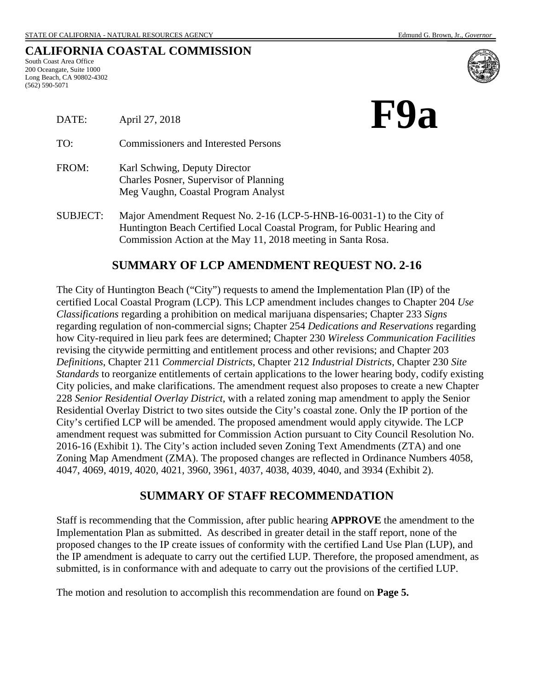|  |  | CALIFORNIA COASTAL COMMISSION |
|--|--|-------------------------------|
|--|--|-------------------------------|

South Coast Area Office 200 Oceangate, Suite 1000 Long Beach, CA 90802-4302 (562) 590-5071

| F9a |  |
|-----|--|
|     |  |

| DATE:    | April 27, 2018                                                                                                 |  |
|----------|----------------------------------------------------------------------------------------------------------------|--|
| TO:      | <b>Commissioners and Interested Persons</b>                                                                    |  |
| FROM:    | Karl Schwing, Deputy Director<br>Charles Posner, Supervisor of Planning<br>Meg Vaughn, Coastal Program Analyst |  |
| SUBJECT: | Major Amendment Request No. 2-16 (LCP-5-HNR-16-0031-1) to the Ci                                               |  |

for Amendment Request No. 2-16 (LCP-5-HNB-16-0031-1) to the City of Huntington Beach Certified Local Coastal Program, for Public Hearing and Commission Action at the May 11, 2018 meeting in Santa Rosa.

## **SUMMARY OF LCP AMENDMENT REQUEST NO. 2-16**

The City of Huntington Beach ("City") requests to amend the Implementation Plan (IP) of the certified Local Coastal Program (LCP). This LCP amendment includes changes to Chapter 204 *Use Classifications* regarding a prohibition on medical marijuana dispensaries; Chapter 233 *Signs* regarding regulation of non-commercial signs; Chapter 254 *Dedications and Reservations* regarding how City-required in lieu park fees are determined; Chapter 230 *Wireless Communication Facilities* revising the citywide permitting and entitlement process and other revisions; and Chapter 203 *Definitions*, Chapter 211 *Commercial Districts*, Chapter 212 *Industrial Districts*, Chapter 230 *Site Standards* to reorganize entitlements of certain applications to the lower hearing body, codify existing City policies, and make clarifications. The amendment request also proposes to create a new Chapter 228 *Senior Residential Overlay District*, with a related zoning map amendment to apply the Senior Residential Overlay District to two sites outside the City's coastal zone. Only the IP portion of the City's certified LCP will be amended. The proposed amendment would apply citywide. The LCP amendment request was submitted for Commission Action pursuant to City Council Resolution No. 2016-16 [\(Exhibit 1\). T](https://documents.coastal.ca.gov/reports/2018/5/F9a/F9a-5-2018-exhibits.pdf)he City's action included seven Zoning Text Amendments (ZTA) and one Zoning Map Amendment (ZMA). The proposed changes are reflected in Ordinance Numbers 4058, 4047, 4069, 4019, 4020, 4021, 3960, 3961, 4037, 4038, 4039, 4040, and 3934 [\(Exhibit 2\).](https://documents.coastal.ca.gov/reports/2018/5/F9a/F9a-5-2018-exhibits.pdf)

#### **SUMMARY OF STAFF RECOMMENDATION**

Staff is recommending that the Commission, after public hearing **APPROVE** the amendment to the Implementation Plan as submitted. As described in greater detail in the staff report, none of the proposed changes to the IP create issues of conformity with the certified Land Use Plan (LUP), and the IP amendment is adequate to carry out the certified LUP. Therefore, the proposed amendment, as submitted, is in conformance with and adequate to carry out the provisions of the certified LUP.

The motion and resolution to accomplish this recommendation are found on **Page 5.**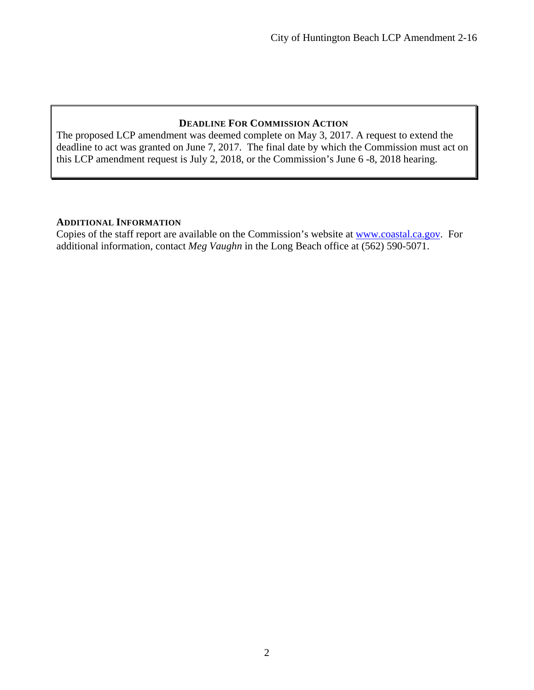#### **DEADLINE FOR COMMISSION ACTION**

The proposed LCP amendment was deemed complete on May 3, 2017. A request to extend the deadline to act was granted on June 7, 2017. The final date by which the Commission must act on this LCP amendment request is July 2, 2018, or the Commission's June 6 -8, 2018 hearing.

#### **ADDITIONAL INFORMATION**

Copies of the staff report are available on the Commission's website at [www.coastal.ca.gov.](http://www.coastal.ca.gov/) For additional information, contact *Meg Vaughn* in the Long Beach office at (562) 590-5071.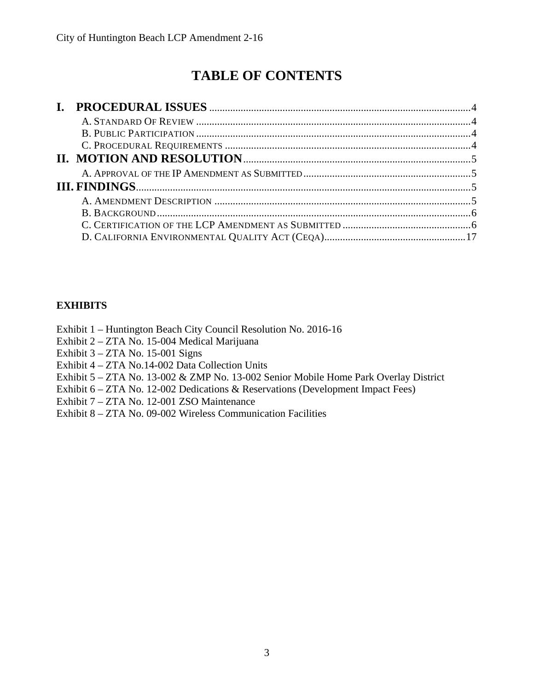# **TABLE OF CONTENTS**

| $\mathbf{I}$ . |  |
|----------------|--|
|                |  |
|                |  |
|                |  |
|                |  |
|                |  |
|                |  |
|                |  |
|                |  |
|                |  |
|                |  |

## **EXHIBITS**

Exhibit 1 – Huntington Beach City Council Resolution No. 2016-16

Exhibit 2 – ZTA No. 15-004 Medical Marijuana

Exhibit 3 – ZTA No. 15-001 Signs

Exhibit 4 – ZTA No.14-002 Data Collection Units

[Exhibit 5 – ZTA No. 13-002 & ZMP No. 13-002 Senior Mobile Home Park Overlay District](https://documents.coastal.ca.gov/reports/2018/5/F9a/F9a-5-2018-exhibits.pdf)

Exhibit 6 – ZTA No. 12-002 Dedications & Reservations (Development Impact Fees)

Exhibit 7 – ZTA No. 12-001 ZSO Maintenance

Exhibit 8 – ZTA No. 09-002 Wireless Communication Facilities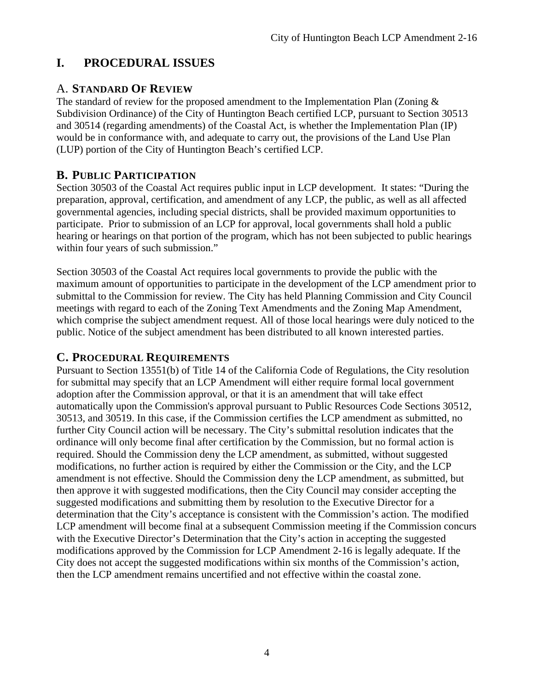## <span id="page-3-0"></span>**I. PROCEDURAL ISSUES**

## <span id="page-3-1"></span>A. **STANDARD OF REVIEW**

The standard of review for the proposed amendment to the Implementation Plan (Zoning  $\&$ Subdivision Ordinance) of the City of Huntington Beach certified LCP, pursuant to Section 30513 and 30514 (regarding amendments) of the Coastal Act, is whether the Implementation Plan (IP) would be in conformance with, and adequate to carry out, the provisions of the Land Use Plan (LUP) portion of the City of Huntington Beach's certified LCP.

## <span id="page-3-2"></span>**B. PUBLIC PARTICIPATION**

Section 30503 of the Coastal Act requires public input in LCP development. It states: "During the preparation, approval, certification, and amendment of any LCP, the public, as well as all affected governmental agencies, including special districts, shall be provided maximum opportunities to participate. Prior to submission of an LCP for approval, local governments shall hold a public hearing or hearings on that portion of the program, which has not been subjected to public hearings within four years of such submission."

Section 30503 of the Coastal Act requires local governments to provide the public with the maximum amount of opportunities to participate in the development of the LCP amendment prior to submittal to the Commission for review. The City has held Planning Commission and City Council meetings with regard to each of the Zoning Text Amendments and the Zoning Map Amendment, which comprise the subject amendment request. All of those local hearings were duly noticed to the public. Notice of the subject amendment has been distributed to all known interested parties.

## <span id="page-3-3"></span>**C. PROCEDURAL REQUIREMENTS**

Pursuant to Section 13551(b) of Title 14 of the California Code of Regulations, the City resolution for submittal may specify that an LCP Amendment will either require formal local government adoption after the Commission approval, or that it is an amendment that will take effect automatically upon the Commission's approval pursuant to Public Resources Code Sections 30512, 30513, and 30519. In this case, if the Commission certifies the LCP amendment as submitted, no further City Council action will be necessary. The City's submittal resolution indicates that the ordinance will only become final after certification by the Commission, but no formal action is required. Should the Commission deny the LCP amendment, as submitted, without suggested modifications, no further action is required by either the Commission or the City, and the LCP amendment is not effective. Should the Commission deny the LCP amendment, as submitted, but then approve it with suggested modifications, then the City Council may consider accepting the suggested modifications and submitting them by resolution to the Executive Director for a determination that the City's acceptance is consistent with the Commission's action. The modified LCP amendment will become final at a subsequent Commission meeting if the Commission concurs with the Executive Director's Determination that the City's action in accepting the suggested modifications approved by the Commission for LCP Amendment 2-16 is legally adequate. If the City does not accept the suggested modifications within six months of the Commission's action, then the LCP amendment remains uncertified and not effective within the coastal zone.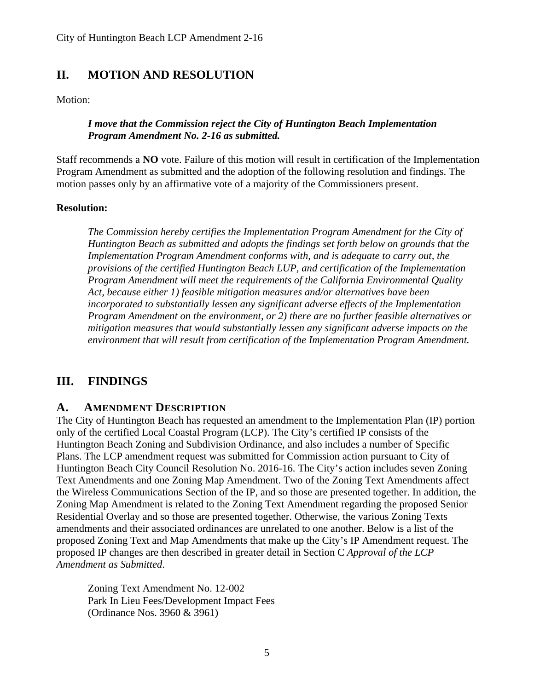## <span id="page-4-1"></span><span id="page-4-0"></span>**II. MOTION AND RESOLUTION**

Motion:

#### *I move that the Commission reject the City of Huntington Beach Implementation Program Amendment No. 2-16 as submitted.*

Staff recommends a **NO** vote. Failure of this motion will result in certification of the Implementation Program Amendment as submitted and the adoption of the following resolution and findings. The motion passes only by an affirmative vote of a majority of the Commissioners present.

#### **Resolution:**

*The Commission hereby certifies the Implementation Program Amendment for the City of Huntington Beach as submitted and adopts the findings set forth below on grounds that the Implementation Program Amendment conforms with, and is adequate to carry out, the provisions of the certified Huntington Beach LUP, and certification of the Implementation Program Amendment will meet the requirements of the California Environmental Quality Act, because either 1) feasible mitigation measures and/or alternatives have been incorporated to substantially lessen any significant adverse effects of the Implementation Program Amendment on the environment, or 2) there are no further feasible alternatives or mitigation measures that would substantially lessen any significant adverse impacts on the environment that will result from certification of the Implementation Program Amendment.* 

## <span id="page-4-2"></span>**III. FINDINGS**

#### <span id="page-4-3"></span>**A. AMENDMENT DESCRIPTION**

The City of Huntington Beach has requested an amendment to the Implementation Plan (IP) portion only of the certified Local Coastal Program (LCP). The City's certified IP consists of the Huntington Beach Zoning and Subdivision Ordinance, and also includes a number of Specific Plans. The LCP amendment request was submitted for Commission action pursuant to City of Huntington Beach City Council Resolution No. 2016-16. The City's action includes seven Zoning Text Amendments and one Zoning Map Amendment. Two of the Zoning Text Amendments affect the Wireless Communications Section of the IP, and so those are presented together. In addition, the Zoning Map Amendment is related to the Zoning Text Amendment regarding the proposed Senior Residential Overlay and so those are presented together. Otherwise, the various Zoning Texts amendments and their associated ordinances are unrelated to one another. Below is a list of the proposed Zoning Text and Map Amendments that make up the City's IP Amendment request. The proposed IP changes are then described in greater detail in Section C *Approval of the LCP Amendment as Submitted*.

Zoning Text Amendment No. 12-002 Park In Lieu Fees/Development Impact Fees (Ordinance Nos. 3960 & 3961)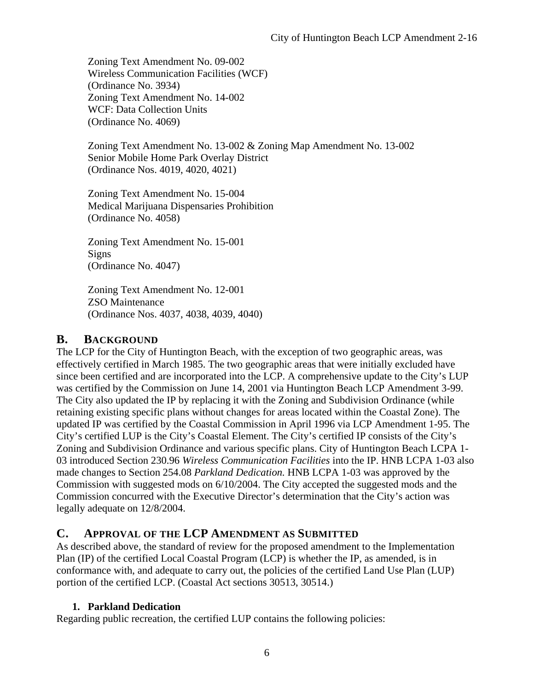Zoning Text Amendment No. 09-002 Wireless Communication Facilities (WCF) (Ordinance No. 3934) Zoning Text Amendment No. 14-002 WCF: Data Collection Units (Ordinance No. 4069)

Zoning Text Amendment No. 13-002 & Zoning Map Amendment No. 13-002 Senior Mobile Home Park Overlay District (Ordinance Nos. 4019, 4020, 4021)

Zoning Text Amendment No. 15-004 Medical Marijuana Dispensaries Prohibition (Ordinance No. 4058)

Zoning Text Amendment No. 15-001 Signs (Ordinance No. 4047)

Zoning Text Amendment No. 12-001 ZSO Maintenance (Ordinance Nos. 4037, 4038, 4039, 4040)

## <span id="page-5-0"></span>**B. BACKGROUND**

The LCP for the City of Huntington Beach, with the exception of two geographic areas, was effectively certified in March 1985. The two geographic areas that were initially excluded have since been certified and are incorporated into the LCP. A comprehensive update to the City's LUP was certified by the Commission on June 14, 2001 via Huntington Beach LCP Amendment 3-99. The City also updated the IP by replacing it with the Zoning and Subdivision Ordinance (while retaining existing specific plans without changes for areas located within the Coastal Zone). The updated IP was certified by the Coastal Commission in April 1996 via LCP Amendment 1-95. The City's certified LUP is the City's Coastal Element. The City's certified IP consists of the City's Zoning and Subdivision Ordinance and various specific plans. City of Huntington Beach LCPA 1- 03 introduced Section 230.96 *Wireless Communication Facilities* into the IP. HNB LCPA 1-03 also made changes to Section 254.08 *Parkland Dedication.* HNB LCPA 1-03 was approved by the Commission with suggested mods on 6/10/2004. The City accepted the suggested mods and the Commission concurred with the Executive Director's determination that the City's action was legally adequate on 12/8/2004.

## <span id="page-5-1"></span>**C. APPROVAL OF THE LCP AMENDMENT AS SUBMITTED**

As described above, the standard of review for the proposed amendment to the Implementation Plan (IP) of the certified Local Coastal Program (LCP) is whether the IP, as amended, is in conformance with, and adequate to carry out, the policies of the certified Land Use Plan (LUP) portion of the certified LCP. (Coastal Act sections 30513, 30514.)

## **1. Parkland Dedication**

Regarding public recreation, the certified LUP contains the following policies: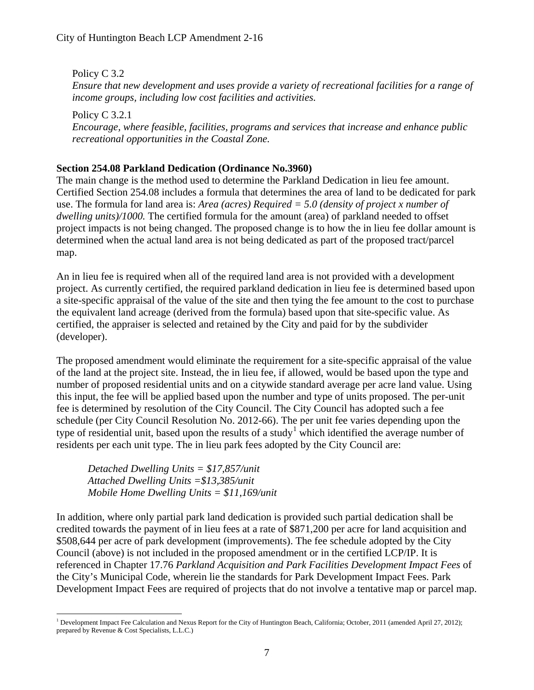Policy C 3.2 *Ensure that new development and uses provide a variety of recreational facilities for a range of income groups, including low cost facilities and activities.* 

Policy C 3.2.1 *Encourage, where feasible, facilities, programs and services that increase and enhance public recreational opportunities in the Coastal Zone.* 

#### **Section 254.08 Parkland Dedication (Ordinance No.3960)**

The main change is the method used to determine the Parkland Dedication in lieu fee amount. Certified Section 254.08 includes a formula that determines the area of land to be dedicated for park use. The formula for land area is: *Area (acres) Required = 5.0 (density of project x number of dwelling units)/1000.* The certified formula for the amount (area) of parkland needed to offset project impacts is not being changed. The proposed change is to how the in lieu fee dollar amount is determined when the actual land area is not being dedicated as part of the proposed tract/parcel map.

An in lieu fee is required when all of the required land area is not provided with a development project. As currently certified, the required parkland dedication in lieu fee is determined based upon a site-specific appraisal of the value of the site and then tying the fee amount to the cost to purchase the equivalent land acreage (derived from the formula) based upon that site-specific value. As certified, the appraiser is selected and retained by the City and paid for by the subdivider (developer).

The proposed amendment would eliminate the requirement for a site-specific appraisal of the value of the land at the project site. Instead, the in lieu fee, if allowed, would be based upon the type and number of proposed residential units and on a citywide standard average per acre land value. Using this input, the fee will be applied based upon the number and type of units proposed. The per-unit fee is determined by resolution of the City Council. The City Council has adopted such a fee schedule (per City Council Resolution No. 2012-66). The per unit fee varies depending upon the type of residential unit, based upon the results of a study<sup>[1](#page-6-0)</sup> which identified the average number of residents per each unit type. The in lieu park fees adopted by the City Council are:

*Detached Dwelling Units = \$17,857/unit Attached Dwelling Units =\$13,385/unit Mobile Home Dwelling Units = \$11,169/unit* 

In addition, where only partial park land dedication is provided such partial dedication shall be credited towards the payment of in lieu fees at a rate of \$871,200 per acre for land acquisition and \$508,644 per acre of park development (improvements). The fee schedule adopted by the City Council (above) is not included in the proposed amendment or in the certified LCP/IP. It is referenced in Chapter 17.76 *Parkland Acquisition and Park Facilities Development Impact Fees* of the City's Municipal Code, wherein lie the standards for Park Development Impact Fees. Park Development Impact Fees are required of projects that do not involve a tentative map or parcel map.

<span id="page-6-0"></span> $\overline{a}$ <sup>1</sup> Development Impact Fee Calculation and Nexus Report for the City of Huntington Beach, California; October, 2011 (amended April 27, 2012); prepared by Revenue & Cost Specialists, L.L.C.)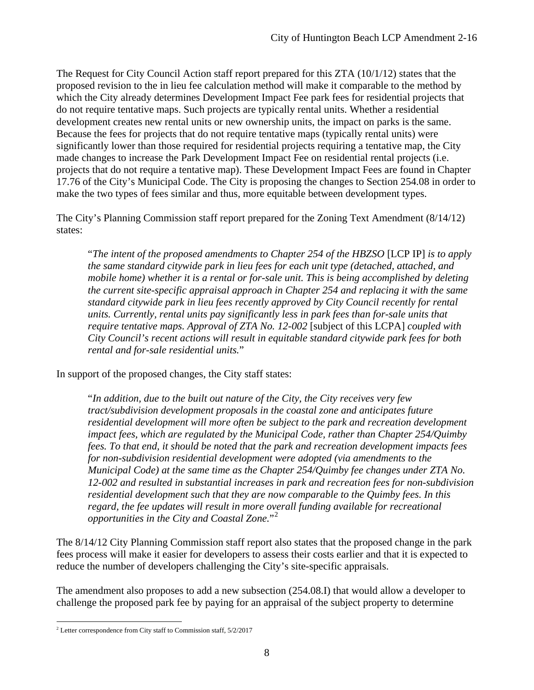The Request for City Council Action staff report prepared for this ZTA (10/1/12) states that the proposed revision to the in lieu fee calculation method will make it comparable to the method by which the City already determines Development Impact Fee park fees for residential projects that do not require tentative maps. Such projects are typically rental units. Whether a residential development creates new rental units or new ownership units, the impact on parks is the same. Because the fees for projects that do not require tentative maps (typically rental units) were significantly lower than those required for residential projects requiring a tentative map, the City made changes to increase the Park Development Impact Fee on residential rental projects (i.e. projects that do not require a tentative map). These Development Impact Fees are found in Chapter 17.76 of the City's Municipal Code. The City is proposing the changes to Section 254.08 in order to make the two types of fees similar and thus, more equitable between development types.

The City's Planning Commission staff report prepared for the Zoning Text Amendment (8/14/12) states:

"*The intent of the proposed amendments to Chapter 254 of the HBZSO* [LCP IP] *is to apply the same standard citywide park in lieu fees for each unit type (detached, attached, and mobile home) whether it is a rental or for-sale unit. This is being accomplished by deleting the current site-specific appraisal approach in Chapter 254 and replacing it with the same standard citywide park in lieu fees recently approved by City Council recently for rental units. Currently, rental units pay significantly less in park fees than for-sale units that require tentative maps. Approval of ZTA No. 12-002* [subject of this LCPA] *coupled with City Council's recent actions will result in equitable standard citywide park fees for both rental and for-sale residential units.*"

In support of the proposed changes, the City staff states:

"*In addition, due to the built out nature of the City, the City receives very few tract/subdivision development proposals in the coastal zone and anticipates future residential development will more often be subject to the park and recreation development impact fees, which are regulated by the Municipal Code, rather than Chapter 254/Quimby fees. To that end, it should be noted that the park and recreation development impacts fees for non-subdivision residential development were adopted (via amendments to the Municipal Code) at the same time as the Chapter 254/Quimby fee changes under ZTA No. 12-002 and resulted in substantial increases in park and recreation fees for non-subdivision residential development such that they are now comparable to the Quimby fees. In this regard, the fee updates will result in more overall funding available for recreational opportunities in the City and Coastal Zone.*"[2](#page-7-0)

The 8/14/12 City Planning Commission staff report also states that the proposed change in the park fees process will make it easier for developers to assess their costs earlier and that it is expected to reduce the number of developers challenging the City's site-specific appraisals.

The amendment also proposes to add a new subsection (254.08.I) that would allow a developer to challenge the proposed park fee by paying for an appraisal of the subject property to determine

<span id="page-7-0"></span> $\overline{a}$  $2$  Letter correspondence from City staff to Commission staff,  $5/2/2017$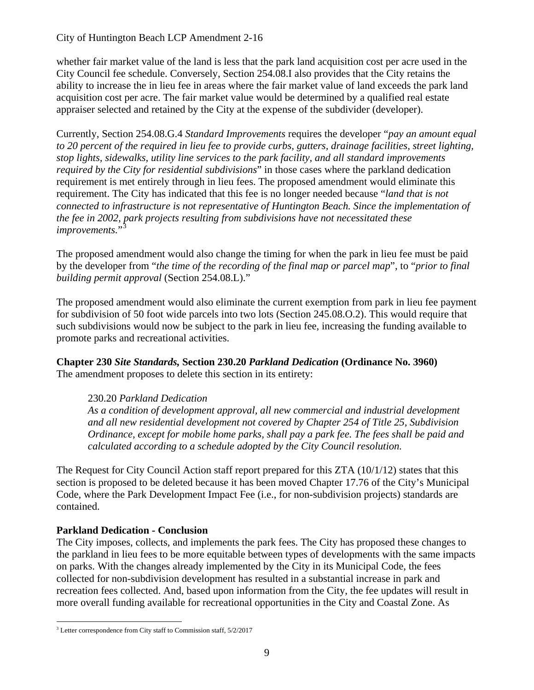whether fair market value of the land is less that the park land acquisition cost per acre used in the City Council fee schedule. Conversely, Section 254.08.I also provides that the City retains the ability to increase the in lieu fee in areas where the fair market value of land exceeds the park land acquisition cost per acre. The fair market value would be determined by a qualified real estate appraiser selected and retained by the City at the expense of the subdivider (developer).

Currently, Section 254.08.G.4 *Standard Improvements* requires the developer "*pay an amount equal to 20 percent of the required in lieu fee to provide curbs, gutters, drainage facilities, street lighting, stop lights, sidewalks, utility line services to the park facility, and all standard improvements required by the City for residential subdivisions*" in those cases where the parkland dedication requirement is met entirely through in lieu fees. The proposed amendment would eliminate this requirement. The City has indicated that this fee is no longer needed because "*land that is not connected to infrastructure is not representative of Huntington Beach. Since the implementation of the fee in 2002, park projects resulting from subdivisions have not necessitated these improvements.*"

The proposed amendment would also change the timing for when the park in lieu fee must be paid by the developer from "*the time of the recording of the final map or parcel map*", to "*prior to final building permit approval* (Section 254.08.L)."

The proposed amendment would also eliminate the current exemption from park in lieu fee payment for subdivision of 50 foot wide parcels into two lots (Section 245.08.O.2). This would require that such subdivisions would now be subject to the park in lieu fee, increasing the funding available to promote parks and recreational activities.

**Chapter 230** *Site Standards,* **Section 230.20** *Parkland Dedication* **(Ordinance No. 3960)**  The amendment proposes to delete this section in its entirety:

#### 230.20 *Parkland Dedication*

*As a condition of development approval, all new commercial and industrial development and all new residential development not covered by Chapter 254 of Title 25, Subdivision Ordinance, except for mobile home parks, shall pay a park fee. The fees shall be paid and calculated according to a schedule adopted by the City Council resolution.*

The Request for City Council Action staff report prepared for this ZTA (10/1/12) states that this section is proposed to be deleted because it has been moved Chapter 17.76 of the City's Municipal Code, where the Park Development Impact Fee (i.e., for non-subdivision projects) standards are contained.

## **Parkland Dedication - Conclusion**

The City imposes, collects, and implements the park fees. The City has proposed these changes to the parkland in lieu fees to be more equitable between types of developments with the same impacts on parks. With the changes already implemented by the City in its Municipal Code, the fees collected for non-subdivision development has resulted in a substantial increase in park and recreation fees collected. And, based upon information from the City, the fee updates will result in more overall funding available for recreational opportunities in the City and Coastal Zone. As

<span id="page-8-0"></span> $\overline{a}$  $3$  Letter correspondence from City staff to Commission staff,  $5/2/2017$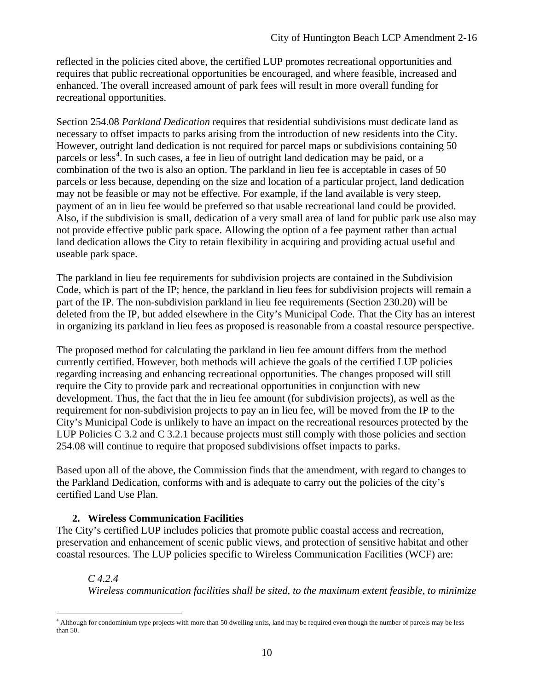reflected in the policies cited above, the certified LUP promotes recreational opportunities and requires that public recreational opportunities be encouraged, and where feasible, increased and enhanced. The overall increased amount of park fees will result in more overall funding for recreational opportunities.

Section 254.08 *Parkland Dedication* requires that residential subdivisions must dedicate land as necessary to offset impacts to parks arising from the introduction of new residents into the City. However, outright land dedication is not required for parcel maps or subdivisions containing 50 parcels or less<sup>[4](#page-9-0)</sup>. In such cases, a fee in lieu of outright land dedication may be paid, or a combination of the two is also an option. The parkland in lieu fee is acceptable in cases of 50 parcels or less because, depending on the size and location of a particular project, land dedication may not be feasible or may not be effective. For example, if the land available is very steep, payment of an in lieu fee would be preferred so that usable recreational land could be provided. Also, if the subdivision is small, dedication of a very small area of land for public park use also may not provide effective public park space. Allowing the option of a fee payment rather than actual land dedication allows the City to retain flexibility in acquiring and providing actual useful and useable park space.

The parkland in lieu fee requirements for subdivision projects are contained in the Subdivision Code, which is part of the IP; hence, the parkland in lieu fees for subdivision projects will remain a part of the IP. The non-subdivision parkland in lieu fee requirements (Section 230.20) will be deleted from the IP, but added elsewhere in the City's Municipal Code. That the City has an interest in organizing its parkland in lieu fees as proposed is reasonable from a coastal resource perspective.

The proposed method for calculating the parkland in lieu fee amount differs from the method currently certified. However, both methods will achieve the goals of the certified LUP policies regarding increasing and enhancing recreational opportunities. The changes proposed will still require the City to provide park and recreational opportunities in conjunction with new development. Thus, the fact that the in lieu fee amount (for subdivision projects), as well as the requirement for non-subdivision projects to pay an in lieu fee, will be moved from the IP to the City's Municipal Code is unlikely to have an impact on the recreational resources protected by the LUP Policies C 3.2 and C 3.2.1 because projects must still comply with those policies and section 254.08 will continue to require that proposed subdivisions offset impacts to parks.

Based upon all of the above, the Commission finds that the amendment, with regard to changes to the Parkland Dedication, conforms with and is adequate to carry out the policies of the city's certified Land Use Plan.

#### **2. Wireless Communication Facilities**

The City's certified LUP includes policies that promote public coastal access and recreation, preservation and enhancement of scenic public views, and protection of sensitive habitat and other coastal resources. The LUP policies specific to Wireless Communication Facilities (WCF) are:

#### *C 4.2.4*

*Wireless communication facilities shall be sited, to the maximum extent feasible, to minimize* 

<span id="page-9-0"></span> $\overline{a}$ <sup>4</sup> Although for condominium type projects with more than 50 dwelling units, land may be required even though the number of parcels may be less than 50.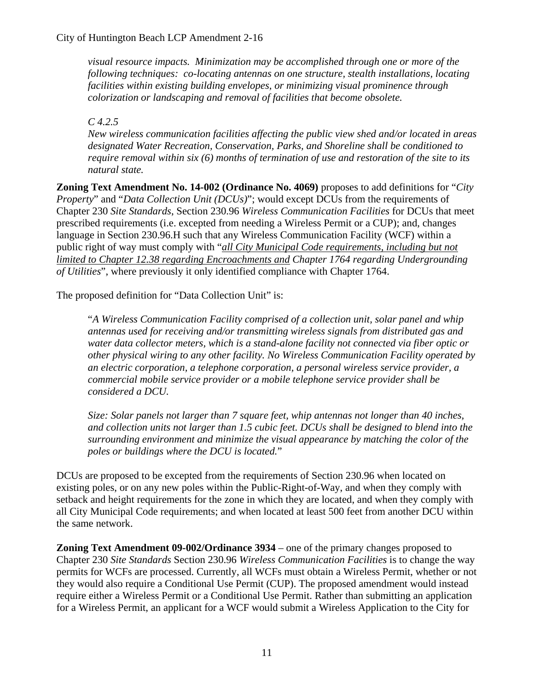*visual resource impacts. Minimization may be accomplished through one or more of the following techniques: co-locating antennas on one structure, stealth installations, locating facilities within existing building envelopes, or minimizing visual prominence through colorization or landscaping and removal of facilities that become obsolete.* 

*C 4.2.5* 

*New wireless communication facilities affecting the public view shed and/or located in areas designated Water Recreation, Conservation, Parks, and Shoreline shall be conditioned to require removal within six (6) months of termination of use and restoration of the site to its natural state.* 

**Zoning Text Amendment No. 14-002 (Ordinance No. 4069)** proposes to add definitions for "*City Property*" and "*Data Collection Unit (DCUs)*"; would except DCUs from the requirements of Chapter 230 *Site Standards*, Section 230.96 *Wireless Communication Facilities* for DCUs that meet prescribed requirements (i.e. excepted from needing a Wireless Permit or a CUP); and, changes language in Section 230.96.H such that any Wireless Communication Facility (WCF) within a public right of way must comply with "*all City Municipal Code requirements, including but not limited to Chapter 12.38 regarding Encroachments and Chapter 1764 regarding Undergrounding of Utilities*", where previously it only identified compliance with Chapter 1764.

The proposed definition for "Data Collection Unit" is:

"*A Wireless Communication Facility comprised of a collection unit, solar panel and whip antennas used for receiving and/or transmitting wireless signals from distributed gas and water data collector meters, which is a stand-alone facility not connected via fiber optic or other physical wiring to any other facility. No Wireless Communication Facility operated by an electric corporation, a telephone corporation, a personal wireless service provider, a commercial mobile service provider or a mobile telephone service provider shall be considered a DCU.*

*Size: Solar panels not larger than 7 square feet, whip antennas not longer than 40 inches, and collection units not larger than 1.5 cubic feet. DCUs shall be designed to blend into the surrounding environment and minimize the visual appearance by matching the color of the poles or buildings where the DCU is located.*"

DCUs are proposed to be excepted from the requirements of Section 230.96 when located on existing poles, or on any new poles within the Public-Right-of-Way, and when they comply with setback and height requirements for the zone in which they are located, and when they comply with all City Municipal Code requirements; and when located at least 500 feet from another DCU within the same network.

**Zoning Text Amendment 09-002/Ordinance 3934** – one of the primary changes proposed to Chapter 230 *Site Standards* Section 230.96 *Wireless Communication Facilities* is to change the way permits for WCFs are processed. Currently, all WCFs must obtain a Wireless Permit, whether or not they would also require a Conditional Use Permit (CUP). The proposed amendment would instead require either a Wireless Permit or a Conditional Use Permit. Rather than submitting an application for a Wireless Permit, an applicant for a WCF would submit a Wireless Application to the City for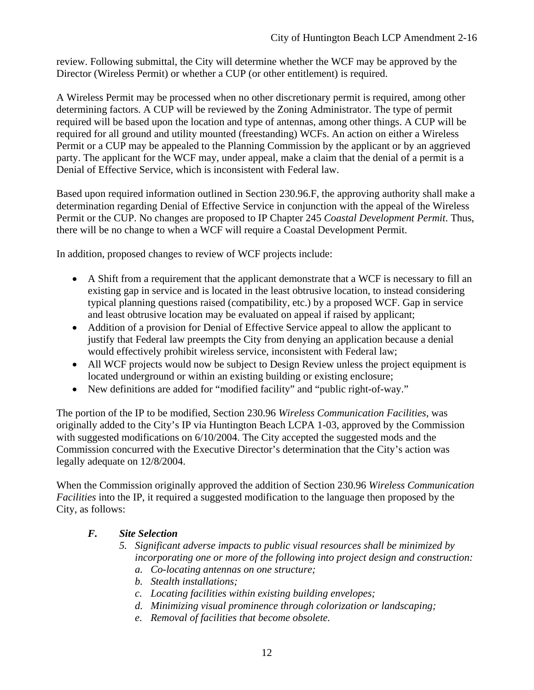review. Following submittal, the City will determine whether the WCF may be approved by the Director (Wireless Permit) or whether a CUP (or other entitlement) is required.

A Wireless Permit may be processed when no other discretionary permit is required, among other determining factors. A CUP will be reviewed by the Zoning Administrator. The type of permit required will be based upon the location and type of antennas, among other things. A CUP will be required for all ground and utility mounted (freestanding) WCFs. An action on either a Wireless Permit or a CUP may be appealed to the Planning Commission by the applicant or by an aggrieved party. The applicant for the WCF may, under appeal, make a claim that the denial of a permit is a Denial of Effective Service, which is inconsistent with Federal law.

Based upon required information outlined in Section 230.96.F, the approving authority shall make a determination regarding Denial of Effective Service in conjunction with the appeal of the Wireless Permit or the CUP. No changes are proposed to IP Chapter 245 *Coastal Development Permit*. Thus, there will be no change to when a WCF will require a Coastal Development Permit.

In addition, proposed changes to review of WCF projects include:

- A Shift from a requirement that the applicant demonstrate that a WCF is necessary to fill an existing gap in service and is located in the least obtrusive location, to instead considering typical planning questions raised (compatibility, etc.) by a proposed WCF. Gap in service and least obtrusive location may be evaluated on appeal if raised by applicant;
- Addition of a provision for Denial of Effective Service appeal to allow the applicant to justify that Federal law preempts the City from denying an application because a denial would effectively prohibit wireless service, inconsistent with Federal law;
- All WCF projects would now be subject to Design Review unless the project equipment is located underground or within an existing building or existing enclosure;
- New definitions are added for "modified facility" and "public right-of-way."

The portion of the IP to be modified, Section 230.96 *Wireless Communication Facilities*, was originally added to the City's IP via Huntington Beach LCPA 1-03, approved by the Commission with suggested modifications on 6/10/2004. The City accepted the suggested mods and the Commission concurred with the Executive Director's determination that the City's action was legally adequate on 12/8/2004.

When the Commission originally approved the addition of Section 230.96 *Wireless Communication Facilities* into the IP, it required a suggested modification to the language then proposed by the City, as follows:

#### *F. Site Selection*

- *5. Significant adverse impacts to public visual resources shall be minimized by incorporating one or more of the following into project design and construction: a. Co-locating antennas on one structure;*
	- *b. Stealth installations;*
	- *c. Locating facilities within existing building envelopes;*
	- *d. Minimizing visual prominence through colorization or landscaping;*
	- *e. Removal of facilities that become obsolete.*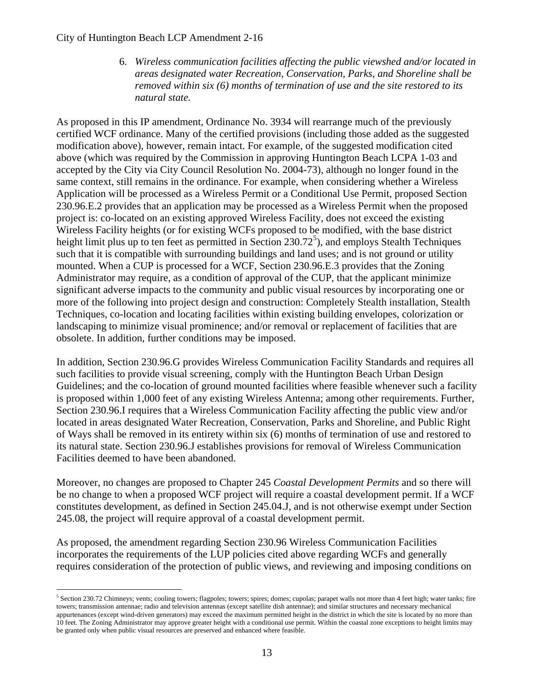#### City of Huntington Beach LCP Amendment 2-16

 $\overline{a}$ 

6. *Wireless communication facilities affecting the public viewshed and/or located in areas designated water Recreation, Conservation, Parks, and Shoreline shall be removed within six (6) months of termination of use and the site restored to its natural state.*

As proposed in this IP amendment, Ordinance No. 3934 will rearrange much of the previously certified WCF ordinance. Many of the certified provisions (including those added as the suggested modification above), however, remain intact. For example, of the suggested modification cited above (which was required by the Commission in approving Huntington Beach LCPA 1-03 and accepted by the City via City Council Resolution No. 2004-73), although no longer found in the same context, still remains in the ordinance. For example, when considering whether a Wireless Application will be processed as a Wireless Permit or a Conditional Use Permit, proposed Section 230.96.E.2 provides that an application may be processed as a Wireless Permit when the proposed project is: co-located on an existing approved Wireless Facility, does not exceed the existing Wireless Facility heights (or for existing WCFs proposed to be modified, with the base district height limit plus up to ten feet as permitted in Section  $230.72^5$  $230.72^5$ ), and employs Stealth Techniques such that it is compatible with surrounding buildings and land uses; and is not ground or utility mounted. When a CUP is processed for a WCF, Section 230.96.E.3 provides that the Zoning Administrator may require, as a condition of approval of the CUP, that the applicant minimize significant adverse impacts to the community and public visual resources by incorporating one or more of the following into project design and construction: Completely Stealth installation, Stealth Techniques, co-location and locating facilities within existing building envelopes, colorization or landscaping to minimize visual prominence; and/or removal or replacement of facilities that are obsolete. In addition, further conditions may be imposed.

In addition, Section 230.96.G provides Wireless Communication Facility Standards and requires all such facilities to provide visual screening, comply with the Huntington Beach Urban Design Guidelines; and the co-location of ground mounted facilities where feasible whenever such a facility is proposed within 1,000 feet of any existing Wireless Antenna; among other requirements. Further, Section 230.96.I requires that a Wireless Communication Facility affecting the public view and/or located in areas designated Water Recreation, Conservation, Parks and Shoreline, and Public Right of Ways shall be removed in its entirety within six (6) months of termination of use and restored to its natural state. Section 230.96.J establishes provisions for removal of Wireless Communication Facilities deemed to have been abandoned.

Moreover, no changes are proposed to Chapter 245 *Coastal Development Permits* and so there will be no change to when a proposed WCF project will require a coastal development permit. If a WCF constitutes development, as defined in Section 245.04.J, and is not otherwise exempt under Section 245.08, the project will require approval of a coastal development permit.

As proposed, the amendment regarding Section 230.96 Wireless Communication Facilities incorporates the requirements of the LUP policies cited above regarding WCFs and generally requires consideration of the protection of public views, and reviewing and imposing conditions on

<span id="page-12-0"></span><sup>&</sup>lt;sup>5</sup> Section 230.72 Chimneys; vents; cooling towers; flagpoles; towers; spires; domes; cupolas; parapet walls not more than 4 feet high; water tanks; fire towers; transmission antennae; radio and television antennas (except satellite dish antennae); and similar structures and necessary mechanical appurtenances (except wind-driven generators) may exceed the maximum permitted height in the district in which the site is located by no more than 10 feet. The Zoning Administrator may approve greater height with a conditional use permit. Within the coastal zone exceptions to height limits may be granted only when public visual resources are preserved and enhanced where feasible.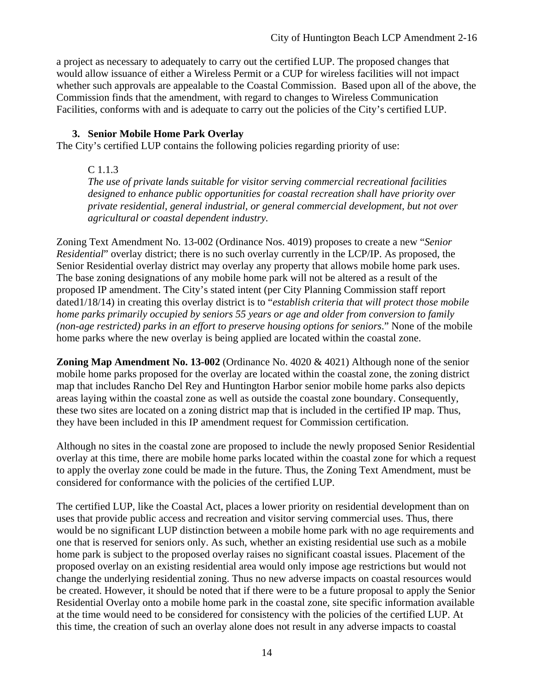a project as necessary to adequately to carry out the certified LUP. The proposed changes that would allow issuance of either a Wireless Permit or a CUP for wireless facilities will not impact whether such approvals are appealable to the Coastal Commission. Based upon all of the above, the Commission finds that the amendment, with regard to changes to Wireless Communication Facilities, conforms with and is adequate to carry out the policies of the City's certified LUP.

#### **3. Senior Mobile Home Park Overlay**

The City's certified LUP contains the following policies regarding priority of use:

#### C 1.1.3

*The use of private lands suitable for visitor serving commercial recreational facilities designed to enhance public opportunities for coastal recreation shall have priority over private residential, general industrial, or general commercial development, but not over agricultural or coastal dependent industry.*

Zoning Text Amendment No. 13-002 (Ordinance Nos. 4019) proposes to create a new "*Senior Residential*" overlay district; there is no such overlay currently in the LCP/IP. As proposed, the Senior Residential overlay district may overlay any property that allows mobile home park uses. The base zoning designations of any mobile home park will not be altered as a result of the proposed IP amendment. The City's stated intent (per City Planning Commission staff report dated1/18/14) in creating this overlay district is to "*establish criteria that will protect those mobile home parks primarily occupied by seniors 55 years or age and older from conversion to family (non-age restricted) parks in an effort to preserve housing options for seniors*." None of the mobile home parks where the new overlay is being applied are located within the coastal zone.

**Zoning Map Amendment No. 13-002** (Ordinance No. 4020 & 4021) Although none of the senior mobile home parks proposed for the overlay are located within the coastal zone, the zoning district map that includes Rancho Del Rey and Huntington Harbor senior mobile home parks also depicts areas laying within the coastal zone as well as outside the coastal zone boundary. Consequently, these two sites are located on a zoning district map that is included in the certified IP map. Thus, they have been included in this IP amendment request for Commission certification.

Although no sites in the coastal zone are proposed to include the newly proposed Senior Residential overlay at this time, there are mobile home parks located within the coastal zone for which a request to apply the overlay zone could be made in the future. Thus, the Zoning Text Amendment, must be considered for conformance with the policies of the certified LUP.

The certified LUP, like the Coastal Act, places a lower priority on residential development than on uses that provide public access and recreation and visitor serving commercial uses. Thus, there would be no significant LUP distinction between a mobile home park with no age requirements and one that is reserved for seniors only. As such, whether an existing residential use such as a mobile home park is subject to the proposed overlay raises no significant coastal issues. Placement of the proposed overlay on an existing residential area would only impose age restrictions but would not change the underlying residential zoning. Thus no new adverse impacts on coastal resources would be created. However, it should be noted that if there were to be a future proposal to apply the Senior Residential Overlay onto a mobile home park in the coastal zone, site specific information available at the time would need to be considered for consistency with the policies of the certified LUP. At this time, the creation of such an overlay alone does not result in any adverse impacts to coastal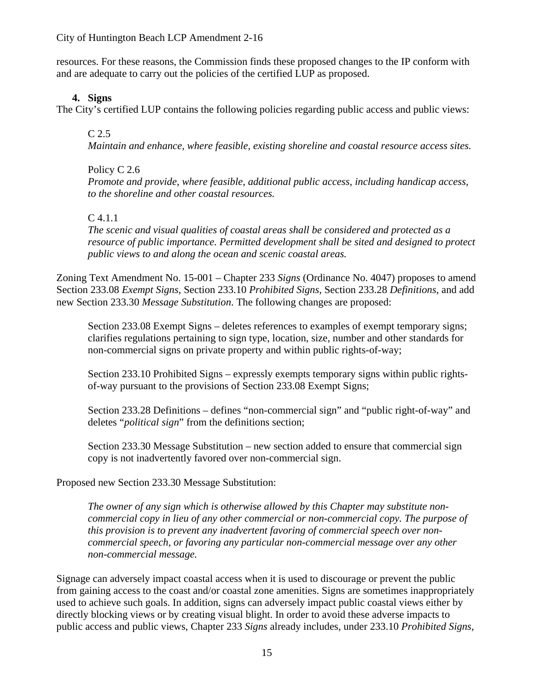#### City of Huntington Beach LCP Amendment 2-16

resources. For these reasons, the Commission finds these proposed changes to the IP conform with and are adequate to carry out the policies of the certified LUP as proposed.

#### **4. Signs**

The City's certified LUP contains the following policies regarding public access and public views:

#### C 2.5

*Maintain and enhance, where feasible, existing shoreline and coastal resource access sites.*

#### Policy C 2.6

*Promote and provide, where feasible, additional public access, including handicap access, to the shoreline and other coastal resources.*

#### C 4.1.1

*The scenic and visual qualities of coastal areas shall be considered and protected as a resource of public importance. Permitted development shall be sited and designed to protect public views to and along the ocean and scenic coastal areas.*

Zoning Text Amendment No. 15-001 – Chapter 233 *Signs* (Ordinance No. 4047) proposes to amend Section 233.08 *Exempt Signs*, Section 233.10 *Prohibited Signs*, Section 233.28 *Definitions*, and add new Section 233.30 *Message Substitution*. The following changes are proposed:

Section 233.08 Exempt Signs – deletes references to examples of exempt temporary signs; clarifies regulations pertaining to sign type, location, size, number and other standards for non-commercial signs on private property and within public rights-of-way;

Section 233.10 Prohibited Signs – expressly exempts temporary signs within public rightsof-way pursuant to the provisions of Section 233.08 Exempt Signs;

Section 233.28 Definitions – defines "non-commercial sign" and "public right-of-way" and deletes "*political sign*" from the definitions section;

Section 233.30 Message Substitution – new section added to ensure that commercial sign copy is not inadvertently favored over non-commercial sign.

Proposed new Section 233.30 Message Substitution:

*The owner of any sign which is otherwise allowed by this Chapter may substitute noncommercial copy in lieu of any other commercial or non-commercial copy. The purpose of this provision is to prevent any inadvertent favoring of commercial speech over noncommercial speech, or favoring any particular non-commercial message over any other non-commercial message.*

Signage can adversely impact coastal access when it is used to discourage or prevent the public from gaining access to the coast and/or coastal zone amenities. Signs are sometimes inappropriately used to achieve such goals. In addition, signs can adversely impact public coastal views either by directly blocking views or by creating visual blight. In order to avoid these adverse impacts to public access and public views, Chapter 233 *Signs* already includes, under 233.10 *Prohibited Signs*,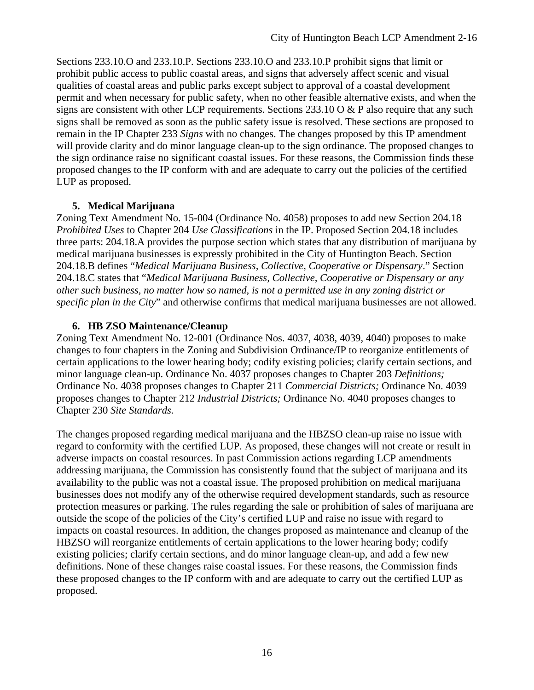Sections 233.10.O and 233.10.P. Sections 233.10.O and 233.10.P prohibit signs that limit or prohibit public access to public coastal areas, and signs that adversely affect scenic and visual qualities of coastal areas and public parks except subject to approval of a coastal development permit and when necessary for public safety, when no other feasible alternative exists, and when the signs are consistent with other LCP requirements. Sections  $233.10 \text{ O} \& P$  also require that any such signs shall be removed as soon as the public safety issue is resolved. These sections are proposed to remain in the IP Chapter 233 *Signs* with no changes. The changes proposed by this IP amendment will provide clarity and do minor language clean-up to the sign ordinance. The proposed changes to the sign ordinance raise no significant coastal issues. For these reasons, the Commission finds these proposed changes to the IP conform with and are adequate to carry out the policies of the certified LUP as proposed.

### **5. Medical Marijuana**

Zoning Text Amendment No. 15-004 (Ordinance No. 4058) proposes to add new Section 204.18 *Prohibited Uses* to Chapter 204 *Use Classifications* in the IP. Proposed Section 204.18 includes three parts: 204.18.A provides the purpose section which states that any distribution of marijuana by medical marijuana businesses is expressly prohibited in the City of Huntington Beach. Section 204.18.B defines "*Medical Marijuana Business, Collective, Cooperative or Dispensary*." Section 204.18.C states that "*Medical Marijuana Business, Collective, Cooperative or Dispensary or any other such business, no matter how so named, is not a permitted use in any zoning district or specific plan in the City*" and otherwise confirms that medical marijuana businesses are not allowed.

## **6. HB ZSO Maintenance/Cleanup**

Zoning Text Amendment No. 12-001 (Ordinance Nos. 4037, 4038, 4039, 4040) proposes to make changes to four chapters in the Zoning and Subdivision Ordinance/IP to reorganize entitlements of certain applications to the lower hearing body; codify existing policies; clarify certain sections, and minor language clean-up. Ordinance No. 4037 proposes changes to Chapter 203 *Definitions;*  Ordinance No. 4038 proposes changes to Chapter 211 *Commercial Districts;* Ordinance No. 4039 proposes changes to Chapter 212 *Industrial Districts;* Ordinance No. 4040 proposes changes to Chapter 230 *Site Standards.*

The changes proposed regarding medical marijuana and the HBZSO clean-up raise no issue with regard to conformity with the certified LUP. As proposed, these changes will not create or result in adverse impacts on coastal resources. In past Commission actions regarding LCP amendments addressing marijuana, the Commission has consistently found that the subject of marijuana and its availability to the public was not a coastal issue. The proposed prohibition on medical marijuana businesses does not modify any of the otherwise required development standards, such as resource protection measures or parking. The rules regarding the sale or prohibition of sales of marijuana are outside the scope of the policies of the City's certified LUP and raise no issue with regard to impacts on coastal resources. In addition, the changes proposed as maintenance and cleanup of the HBZSO will reorganize entitlements of certain applications to the lower hearing body; codify existing policies; clarify certain sections, and do minor language clean-up, and add a few new definitions. None of these changes raise coastal issues. For these reasons, the Commission finds these proposed changes to the IP conform with and are adequate to carry out the certified LUP as proposed.